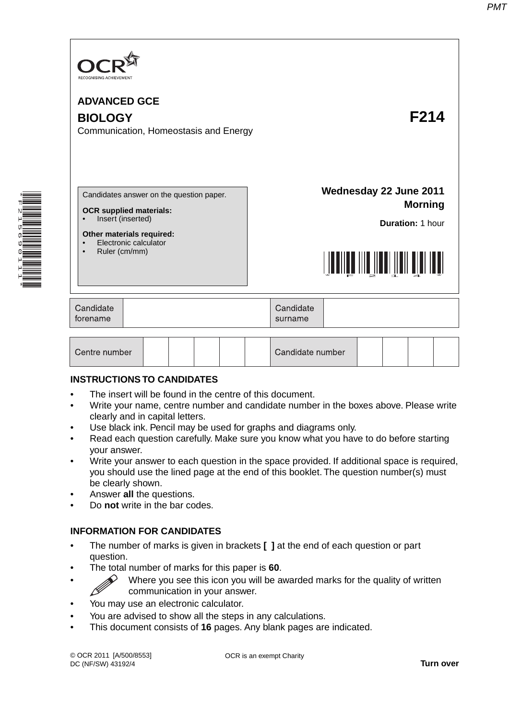

| Centre number |  |  |  |  |  | Candidate number |  |  |  |  |  |
|---------------|--|--|--|--|--|------------------|--|--|--|--|--|
|---------------|--|--|--|--|--|------------------|--|--|--|--|--|

#### **INSTRUCTIONS TO CANDIDATES**

\*F215690111\*

- The insert will be found in the centre of this document.
- Write your name, centre number and candidate number in the boxes above. Please write clearly and in capital letters.
- Use black ink. Pencil may be used for graphs and diagrams only.
- Read each question carefully. Make sure you know what you have to do before starting your answer.
- Write your answer to each question in the space provided. If additional space is required, you should use the lined page at the end of this booklet. The question number(s) must be clearly shown.
- Answer **all** the questions.
- Do **not** write in the bar codes.

#### **INFORMATION FOR CANDIDATES**

- The number of marks is given in brackets **[ ]** at the end of each question or part question.
- The total number of marks for this paper is **60**.
	- $\gg$  Where you see this icon you will be awarded marks for the quality of written communication in your answer.
- You may use an electronic calculator.
- You are advised to show all the steps in any calculations.
- This document consists of **16** pages. Any blank pages are indicated.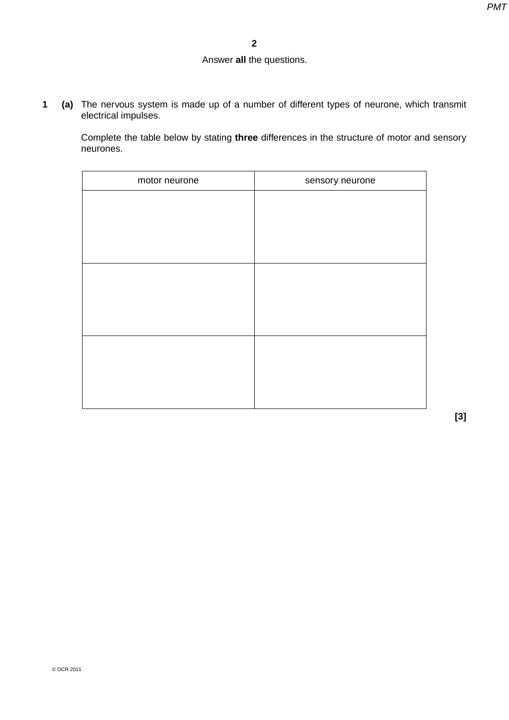# Answer **all** the questions.

**1 (a)** The nervous system is made up of a number of different types of neurone, which transmit electrical impulses.

Complete the table below by stating **three** differences in the structure of motor and sensory neurones.

| sensory neurone |
|-----------------|
|                 |
|                 |
|                 |
|                 |
|                 |
|                 |
|                 |
|                 |
|                 |
|                 |
|                 |
|                 |

**[3]**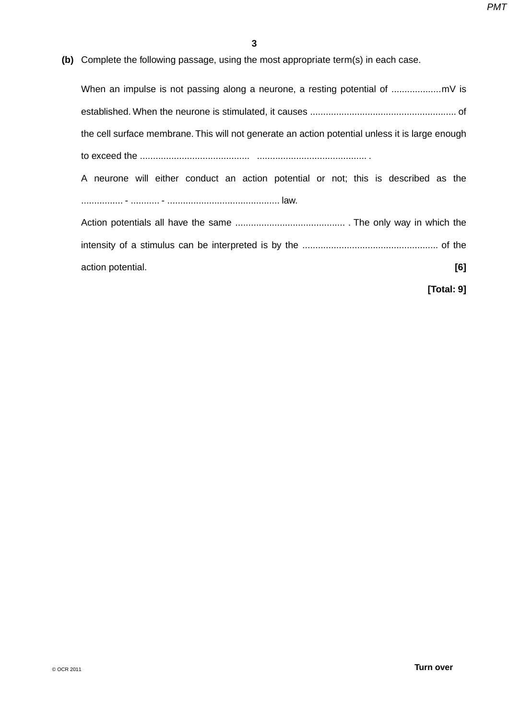**(b)** Complete the following passage, using the most appropriate term(s) in each case.

When an impulse is not passing along a neurone, a resting potential of ................... mV is established. When the neurone is stimulated, it causes ........................................................ of the cell surface membrane. This will not generate an action potential unless it is large enough to exceed the .......................................... .......................................... .

A neurone will either conduct an action potential or not; this is described as the ................ - ........... - ........................................... law.

Action potentials all have the same .......................................... . The only way in which the intensity of a stimulus can be interpreted is by the .................................................... of the action potential. **[6]**

**[Total: 9]**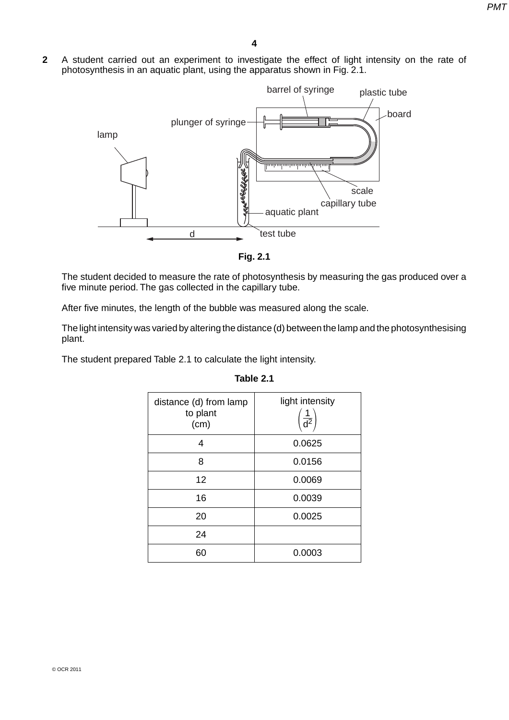**2** A student carried out an experiment to investigate the effect of light intensity on the rate of photosynthesis in an aquatic plant, using the apparatus shown in Fig. 2.1.



**Fig. 2.1**

The student decided to measure the rate of photosynthesis by measuring the gas produced over a five minute period. The gas collected in the capillary tube.

After five minutes, the length of the bubble was measured along the scale.

The light intensity was varied by altering the distance (d) between the lamp and the photosynthesising plant.

The student prepared Table 2.1 to calculate the light intensity.

| distance (d) from lamp<br>to plant<br>(cm) | light intensity<br>$\frac{1}{d^2}$ |
|--------------------------------------------|------------------------------------|
| 4                                          | 0.0625                             |
| 8                                          | 0.0156                             |
| 12                                         | 0.0069                             |
| 16                                         | 0.0039                             |
| 20                                         | 0.0025                             |
| 24                                         |                                    |
| 60                                         | 0.0003                             |

#### **Table 2.1**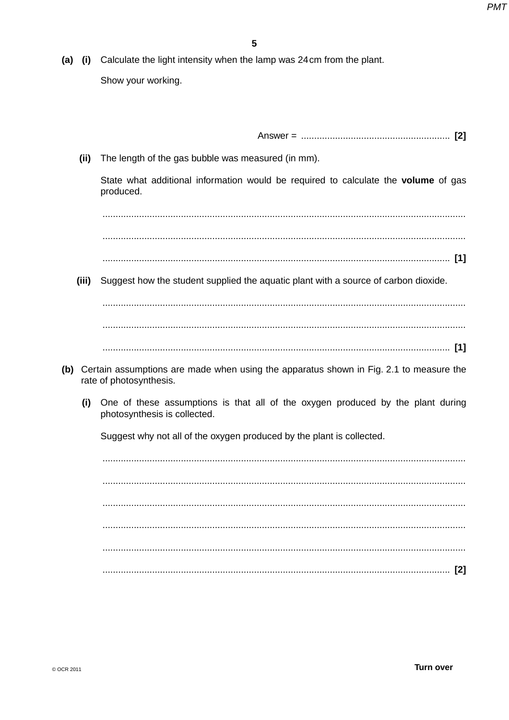(a) (i) Calculate the light intensity when the lamp was 24cm from the plant. Show your working.

 $(ii)$ The length of the gas bubble was measured (in mm).

State what additional information would be required to calculate the volume of gas produced.

- 
- (iii) Suggest how the student supplied the aquatic plant with a source of carbon dioxide.

- (b) Certain assumptions are made when using the apparatus shown in Fig. 2.1 to measure the rate of photosynthesis.
	- (i) One of these assumptions is that all of the oxygen produced by the plant during photosynthesis is collected.

Suggest why not all of the oxygen produced by the plant is collected.

© OCR 2011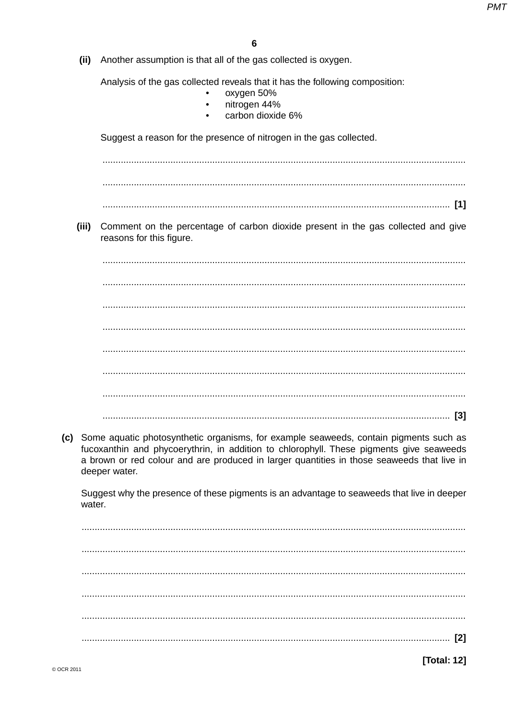(ii) Another assumption is that all of the gas collected is oxygen.

Analysis of the gas collected reveals that it has the following composition:

- oxvaen 50%
- nitrogen 44%  $\bullet$
- carbon dioxide 6%

Suggest a reason for the presence of nitrogen in the gas collected.

(iii) Comment on the percentage of carbon dioxide present in the gas collected and give reasons for this figure.

(c) Some aquatic photosynthetic organisms, for example seaweeds, contain pigments such as fucoxanthin and phycoerythrin, in addition to chlorophyll. These pigments give seaweeds a brown or red colour and are produced in larger quantities in those seaweeds that live in deeper water.

Suggest why the presence of these pigments is an advantage to seaweeds that live in deeper water

**[Total: 12]**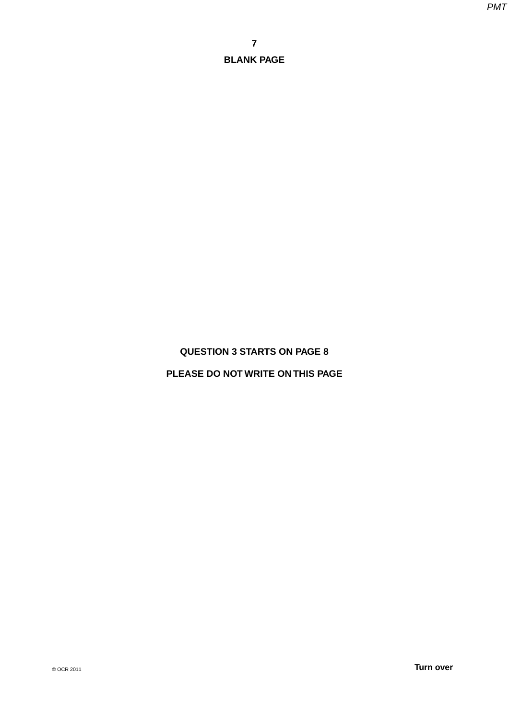# **QUESTION 3 STARTS ON PAGE 8**

# **PLEASE DO NOT WRITE ON THIS PAGE**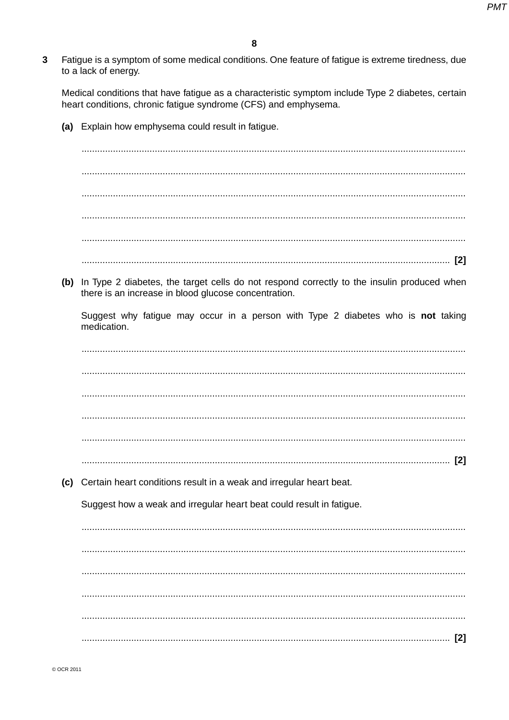$\overline{3}$ Fatigue is a symptom of some medical conditions. One feature of fatigue is extreme tiredness, due to a lack of energy.

Medical conditions that have fatique as a characteristic symptom include Type 2 diabetes, certain heart conditions, chronic fatigue syndrome (CFS) and emphysema.

(a) Explain how emphysema could result in fatigue.

(b) In Type 2 diabetes, the target cells do not respond correctly to the insulin produced when there is an increase in blood glucose concentration.

Suggest why fatigue may occur in a person with Type 2 diabetes who is not taking medication.

(c) Certain heart conditions result in a weak and irregular heart beat.

Suggest how a weak and irregular heart beat could result in fatigue.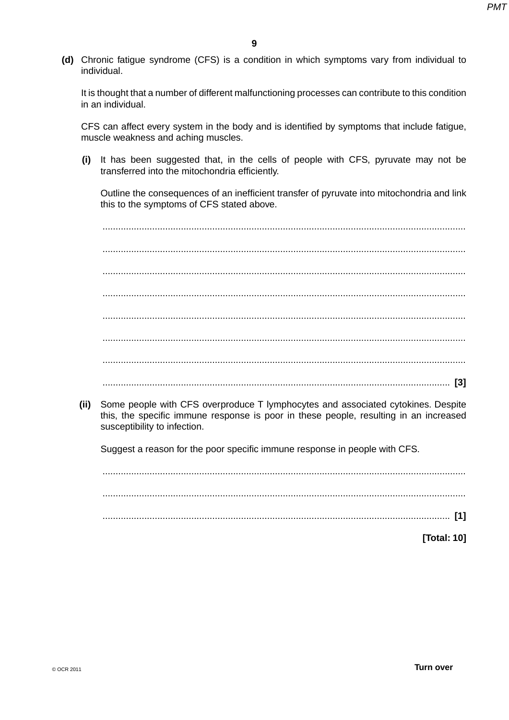**(d)** Chronic fatigue syndrome (CFS) is a condition in which symptoms vary from individual to individual.

It is thought that a number of different malfunctioning processes can contribute to this condition in an individual.

CFS can affect every system in the body and is identified by symptoms that include fatigue, muscle weakness and aching muscles.

 **(i)** It has been suggested that, in the cells of people with CFS, pyruvate may not be transferred into the mitochondria efficiently.

Outline the consequences of an inefficient transfer of pyruvate into mitochondria and link this to the symptoms of CFS stated above.

 ........................................................................................................................................... ........................................................................................................................................... ........................................................................................................................................... ........................................................................................................................................... ........................................................................................................................................... ........................................................................................................................................... ........................................................................................................................................... ..................................................................................................................................... **[3]**

 **(ii)** Some people with CFS overproduce T lymphocytes and associated cytokines. Despite this, the specific immune response is poor in these people, resulting in an increased susceptibility to infection.

Suggest a reason for the poor specific immune response in people with CFS.

 ........................................................................................................................................... ........................................................................................................................................... ..................................................................................................................................... **[1]**

**[Total: 10]**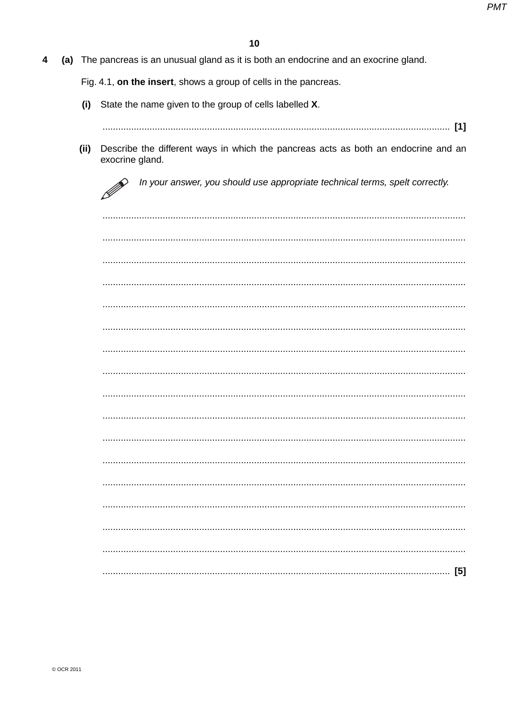$\overline{\mathbf{4}}$ (a) The pancreas is an unusual gland as it is both an endocrine and an exocrine gland.

Fig. 4.1, on the insert, shows a group of cells in the pancreas.

- (i) State the name given to the group of cells labelled X.
	-
- (ii) Describe the different ways in which the pancreas acts as both an endocrine and an exocrine gland.

P In your answer, you should use appropriate technical terms, spelt correctly.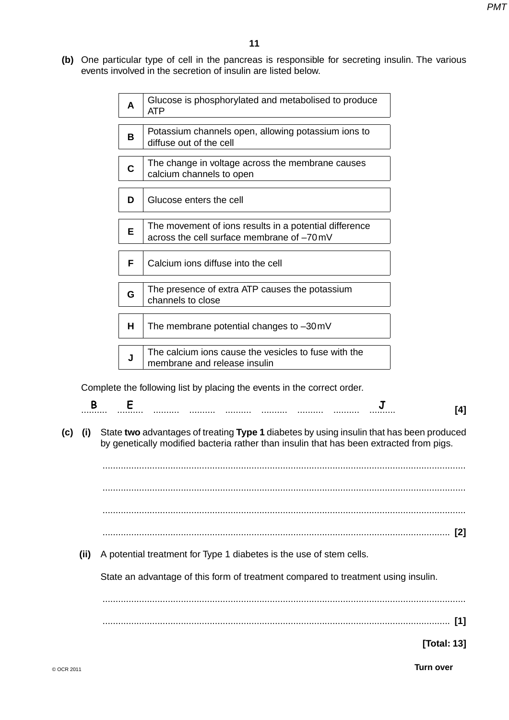**(b)** One particular type of cell in the pancreas is responsible for secreting insulin. The various events involved in the secretion of insulin are listed below.

|     |      | A            | Glucose is phosphorylated and metabolised to produce<br><b>ATP</b>                                                                                                                  |                |
|-----|------|--------------|-------------------------------------------------------------------------------------------------------------------------------------------------------------------------------------|----------------|
|     |      | B            | Potassium channels open, allowing potassium ions to<br>diffuse out of the cell                                                                                                      |                |
|     |      | $\mathbf{C}$ | The change in voltage across the membrane causes<br>calcium channels to open                                                                                                        |                |
|     |      | D            | Glucose enters the cell                                                                                                                                                             |                |
|     |      | Е            | The movement of ions results in a potential difference<br>across the cell surface membrane of -70 mV                                                                                |                |
|     |      | F            | Calcium ions diffuse into the cell                                                                                                                                                  |                |
|     |      | G            | The presence of extra ATP causes the potassium<br>channels to close                                                                                                                 |                |
|     |      | н            | The membrane potential changes to -30mV                                                                                                                                             |                |
|     |      | J            | The calcium ions cause the vesicles to fuse with the<br>membrane and release insulin                                                                                                |                |
|     |      |              | Complete the following list by placing the events in the correct order.                                                                                                             |                |
|     | B    | E            |                                                                                                                                                                                     | [4]            |
| (c) | (i)  |              | State two advantages of treating Type 1 diabetes by using insulin that has been produced<br>by genetically modified bacteria rather than insulin that has been extracted from pigs. |                |
|     |      |              |                                                                                                                                                                                     | $\mathbf{[2]}$ |
|     | (ii) |              | A potential treatment for Type 1 diabetes is the use of stem cells.                                                                                                                 |                |
|     |      |              | State an advantage of this form of treatment compared to treatment using insulin.                                                                                                   |                |
|     |      |              |                                                                                                                                                                                     |                |
|     |      |              |                                                                                                                                                                                     | $[1]$          |
|     |      |              |                                                                                                                                                                                     | [Total: 13]    |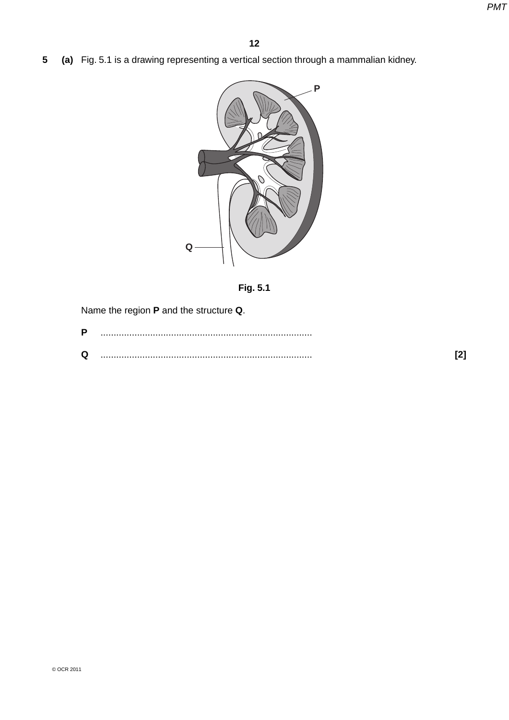**5 (a)** Fig. 5.1 is a drawing representing a vertical section through a mammalian kidney.





Name the region **P** and the structure **Q**.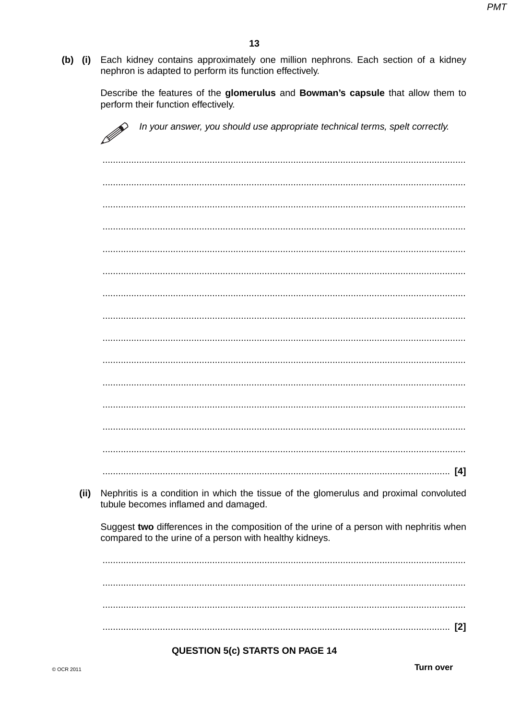(b) (i) Each kidney contains approximately one million nephrons. Each section of a kidney nephron is adapted to perform its function effectively.

Describe the features of the glomerulus and Bowman's capsule that allow them to perform their function effectively.

|      | In your answer, you should use appropriate technical terms, spelt correctly.<br>P                                                                  |
|------|----------------------------------------------------------------------------------------------------------------------------------------------------|
|      |                                                                                                                                                    |
|      |                                                                                                                                                    |
|      |                                                                                                                                                    |
|      |                                                                                                                                                    |
|      |                                                                                                                                                    |
|      |                                                                                                                                                    |
|      |                                                                                                                                                    |
|      |                                                                                                                                                    |
|      |                                                                                                                                                    |
|      |                                                                                                                                                    |
|      |                                                                                                                                                    |
|      |                                                                                                                                                    |
|      |                                                                                                                                                    |
|      |                                                                                                                                                    |
|      | [4]                                                                                                                                                |
| (ii) | Nephritis is a condition in which the tissue of the glomerulus and proximal convoluted<br>tubule becomes inflamed and damaged.                     |
|      | Suggest two differences in the composition of the urine of a person with nephritis when<br>compared to the urine of a person with healthy kidneys. |
|      |                                                                                                                                                    |
|      |                                                                                                                                                    |
|      |                                                                                                                                                    |
|      |                                                                                                                                                    |

### **QUESTION 5(c) STARTS ON PAGE 14**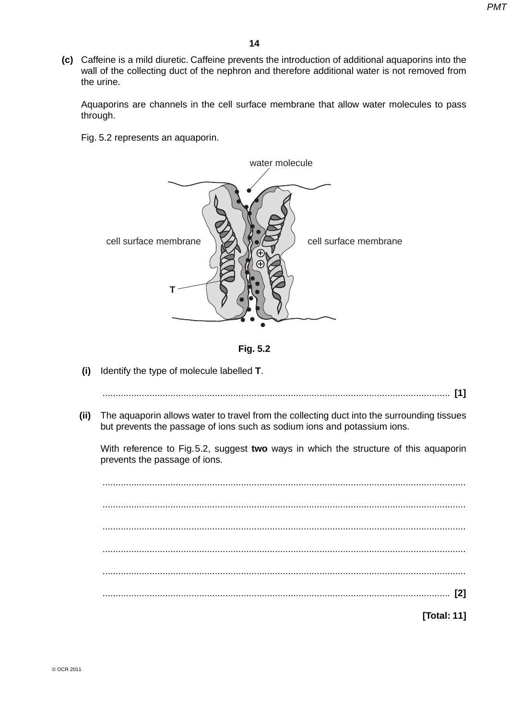**(c)** Caffeine is a mild diuretic. Caffeine prevents the introduction of additional aquaporins into the wall of the collecting duct of the nephron and therefore additional water is not removed from the urine.

Aquaporins are channels in the cell surface membrane that allow water molecules to pass through.

Fig. 5.2 represents an aquaporin.





 **(i)** Identify the type of molecule labelled **T**.

..................................................................................................................................... **[1]**

 **(ii)** The aquaporin allows water to travel from the collecting duct into the surrounding tissues but prevents the passage of ions such as sodium ions and potassium ions.

With reference to Fig. 5.2, suggest **two** ways in which the structure of this aquaporin prevents the passage of ions.

 ........................................................................................................................................... ........................................................................................................................................... ........................................................................................................................................... ........................................................................................................................................... ........................................................................................................................................... ..................................................................................................................................... **[2]**

**[Total: 11]**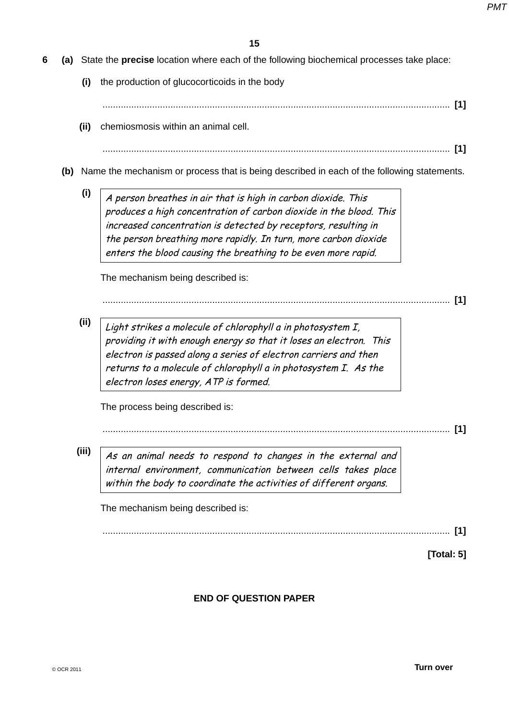- **6 (a)** State the **precise** location where each of the following biochemical processes take place:
	- **(i)** the production of glucocorticoids in the body
		- ..................................................................................................................................... **[1]**
	- **(ii)** chemiosmosis within an animal cell.

..................................................................................................................................... **[1]**

- **(b)** Name the mechanism or process that is being described in each of the following statements.
	- $(i)$   $\overline{A}$  person breathes in air that is high in carbon dioxide. This produces a high concentration of carbon dioxide in the blood. This increased concentration is detected by receptors, resulting in the person breathing more rapidly. In turn, more carbon dioxide enters the blood causing the breathing to be even more rapid.

The mechanism being described is:

..................................................................................................................................... **[1]**

**(ii)** Light strikes a molecule of chlorophyll a in photosystem I, providing it with enough energy so that it loses an electron. This electron is passed along a series of electron carriers and then returns to a molecule of chlorophyll a in photosystem I. As the electron loses energy, ATP is formed.

The process being described is:

..................................................................................................................................... **[1]**

**(iii)** As an animal needs to respond to changes in the external and internal environment, communication between cells takes place within the body to coordinate the activities of different organs.

The mechanism being described is:

..................................................................................................................................... **[1]**

**[Total: 5]**

**END OF QUESTION PAPER**